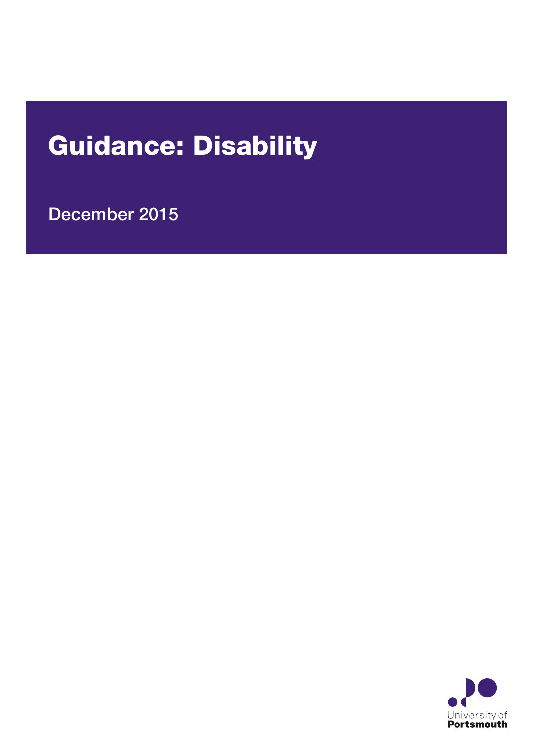# Guidance: Disability

December 2015

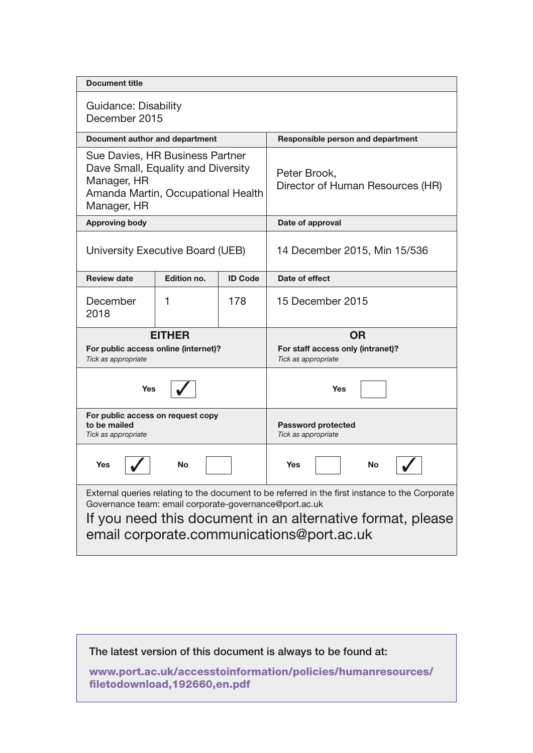| <b>Document title</b>                                                                                                                                                                                                                                                |             |                |                                                                       |  |  |
|----------------------------------------------------------------------------------------------------------------------------------------------------------------------------------------------------------------------------------------------------------------------|-------------|----------------|-----------------------------------------------------------------------|--|--|
| Guidance: Disability<br>December 2015                                                                                                                                                                                                                                |             |                |                                                                       |  |  |
| Document author and department                                                                                                                                                                                                                                       |             |                | Responsible person and department                                     |  |  |
| Sue Davies, HR Business Partner<br>Dave Small, Equality and Diversity<br>Manager, HR<br>Amanda Martin, Occupational Health<br>Manager, HR                                                                                                                            |             |                | Peter Brook,<br>Director of Human Resources (HR)                      |  |  |
| <b>Approving body</b>                                                                                                                                                                                                                                                |             |                | Date of approval                                                      |  |  |
| University Executive Board (UEB)                                                                                                                                                                                                                                     |             |                | 14 December 2015, Min 15/536                                          |  |  |
| <b>Review date</b>                                                                                                                                                                                                                                                   | Edition no. | <b>ID Code</b> | Date of effect                                                        |  |  |
| December<br>2018                                                                                                                                                                                                                                                     | 1           | 178            | 15 December 2015                                                      |  |  |
| <b>EITHER</b><br>For public access online (internet)?<br>Tick as appropriate                                                                                                                                                                                         |             |                | <b>OR</b><br>For staff access only (intranet)?<br>Tick as appropriate |  |  |
| Yes                                                                                                                                                                                                                                                                  |             |                | Yes                                                                   |  |  |
| For public access on request copy<br>to be mailed<br>Tick as appropriate                                                                                                                                                                                             |             |                | <b>Password protected</b><br>Tick as appropriate                      |  |  |
| <b>Yes</b><br>No                                                                                                                                                                                                                                                     |             |                | <b>Yes</b><br>No                                                      |  |  |
| External queries relating to the document to be referred in the first instance to the Corporate<br>Governance team: email corporate-governance@port.ac.uk<br>If you need this document in an alternative format, please<br>email corporate.communications@port.ac.uk |             |                |                                                                       |  |  |

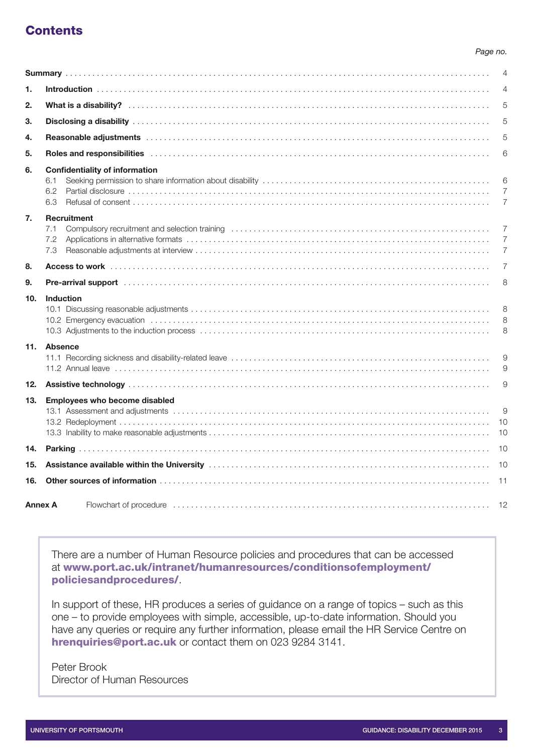# **Contents**

#### *Page no.*

|     |                                                                                                                                                                                                                                | $\overline{4}$           |  |
|-----|--------------------------------------------------------------------------------------------------------------------------------------------------------------------------------------------------------------------------------|--------------------------|--|
| 1.  |                                                                                                                                                                                                                                |                          |  |
| 2.  |                                                                                                                                                                                                                                | 5                        |  |
| 3.  |                                                                                                                                                                                                                                | 5                        |  |
| 4.  |                                                                                                                                                                                                                                | 5                        |  |
| 5.  | Roles and responsibilities with an example and contact the control of the control of the control of the control of the control of the control of the control of the control of the control of the control of the control of th | 6                        |  |
| 6.  | <b>Confidentiality of information</b><br>6.1<br>6.2<br>6.3                                                                                                                                                                     | 6<br>7<br>$\overline{7}$ |  |
| 7.  | <b>Recruitment</b><br>7.1<br>7.2<br>7.3                                                                                                                                                                                        | $\overline{7}$<br>7<br>7 |  |
| 8.  |                                                                                                                                                                                                                                | $\overline{7}$           |  |
| 9.  | Pre-arrival support with a contract of the contract of the contract of the contract of the contract of the contract of the contract of the contract of the contract of the contract of the contract of the contract of the con | 8                        |  |
| 10. | <b>Induction</b>                                                                                                                                                                                                               | 8<br>8<br>8              |  |
|     | 11. Absence                                                                                                                                                                                                                    | 9<br>9                   |  |
| 12. |                                                                                                                                                                                                                                | 9                        |  |
| 13. | Employees who become disabled                                                                                                                                                                                                  | 9<br>10                  |  |
|     |                                                                                                                                                                                                                                |                          |  |
| 15. |                                                                                                                                                                                                                                |                          |  |
| 16. |                                                                                                                                                                                                                                |                          |  |
|     | <b>Annex A</b>                                                                                                                                                                                                                 |                          |  |

There are a number of Human Resource policies and procedures that can be accessed at [www.port.ac.uk/intranet/humanresources/conditionsofemployment/](http://www.port.ac.uk/intranet/humanresources/conditionsofemployment/policiesandprocedures/) [policiesandprocedures/](http://www.port.ac.uk/intranet/humanresources/conditionsofemployment/policiesandprocedures/).

In support of these, HR produces a series of guidance on a range of topics – such as this one – to provide employees with simple, accessible, up-to-date information. Should you have any queries or require any further information, please email the HR Service Centre on [hrenquiries@port.ac.uk](mailto:hrenquiries@port.ac.uk) or contact them on 023 9284 3141.

Peter Brook Director of Human Resources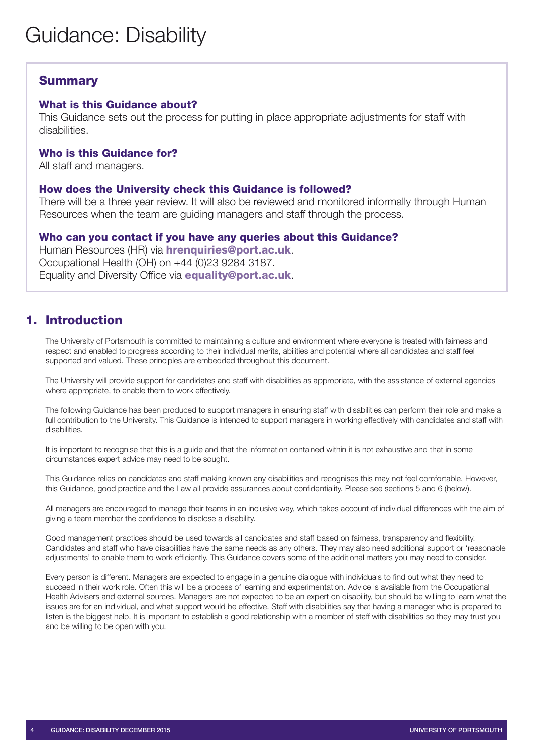# <span id="page-3-0"></span>**Summary**

## What is this Guidance about?

This Guidance sets out the process for putting in place appropriate adjustments for staff with disabilities.

## Who is this Guidance for?

All staff and managers.

## How does the University check this Guidance is followed?

There will be a three year review. It will also be reviewed and monitored informally through Human Resources when the team are guiding managers and staff through the process.

## Who can you contact if you have any queries about this Guidance?

Human Resources (HR) via **[hrenquiries@port.ac.uk](mailto:hrenquiries@port.ac.uk)**. Occupational Health (OH) on +44 (0)23 9284 3187. Equality and Diversity Office via **[equality@port.ac.uk](mailto:equality@port.ac.uk)**.

# <span id="page-3-1"></span>1. Introduction

The University of Portsmouth is committed to maintaining a culture and environment where everyone is treated with fairness and respect and enabled to progress according to their individual merits, abilities and potential where all candidates and staff feel supported and valued. These principles are embedded throughout this document.

The University will provide support for candidates and staff with disabilities as appropriate, with the assistance of external agencies where appropriate, to enable them to work effectively.

The following Guidance has been produced to support managers in ensuring staff with disabilities can perform their role and make a full contribution to the University. This Guidance is intended to support managers in working effectively with candidates and staff with disabilities.

It is important to recognise that this is a guide and that the information contained within it is not exhaustive and that in some circumstances expert advice may need to be sought.

This Guidance relies on candidates and staff making known any disabilities and recognises this may not feel comfortable. However, this Guidance, good practice and the Law all provide assurances about confidentiality. Please see sections 5 and 6 (below).

All managers are encouraged to manage their teams in an inclusive way, which takes account of individual differences with the aim of giving a team member the confidence to disclose a disability.

Good management practices should be used towards all candidates and staff based on fairness, transparency and flexibility. Candidates and staff who have disabilities have the same needs as any others. They may also need additional support or 'reasonable adjustments' to enable them to work efficiently. This Guidance covers some of the additional matters you may need to consider.

Every person is different. Managers are expected to engage in a genuine dialogue with individuals to find out what they need to succeed in their work role. Often this will be a process of learning and experimentation. Advice is available from the Occupational Health Advisers and external sources. Managers are not expected to be an expert on disability, but should be willing to learn what the issues are for an individual, and what support would be effective. Staff with disabilities say that having a manager who is prepared to listen is the biggest help. It is important to establish a good relationship with a member of staff with disabilities so they may trust you and be willing to be open with you.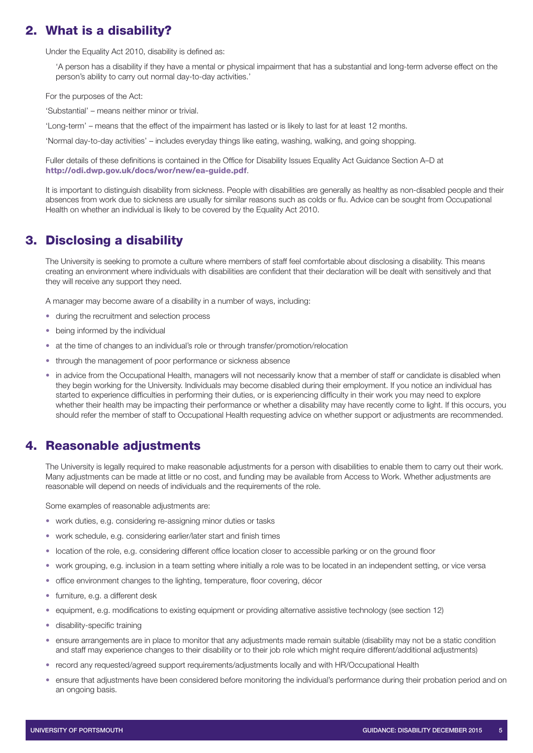# <span id="page-4-0"></span>2. What is a disability?

Under the Equality Act 2010, disability is defined as:

'A person has a disability if they have a mental or physical impairment that has a substantial and long-term adverse effect on the person's ability to carry out normal day-to-day activities.'

For the purposes of the Act:

'Substantial' – means neither minor or trivial.

'Long-term' – means that the effect of the impairment has lasted or is likely to last for at least 12 months.

'Normal day-to-day activities' – includes everyday things like eating, washing, walking, and going shopping.

Fuller details of these definitions is contained in the Office for Disability Issues Equality Act Guidance Section A–D at <http://odi.dwp.gov.uk/docs/wor/new/ea-guide.pdf>.

It is important to distinguish disability from sickness. People with disabilities are generally as healthy as non-disabled people and their absences from work due to sickness are usually for similar reasons such as colds or flu. Advice can be sought from Occupational Health on whether an individual is likely to be covered by the Equality Act 2010.

# <span id="page-4-1"></span>3. Disclosing a disability

The University is seeking to promote a culture where members of staff feel comfortable about disclosing a disability. This means creating an environment where individuals with disabilities are confident that their declaration will be dealt with sensitively and that they will receive any support they need.

A manager may become aware of a disability in a number of ways, including:

- during the recruitment and selection process
- being informed by the individual
- at the time of changes to an individual's role or through transfer/promotion/relocation
- through the management of poor performance or sickness absence
- in advice from the Occupational Health, managers will not necessarily know that a member of staff or candidate is disabled when they begin working for the University. Individuals may become disabled during their employment. If you notice an individual has started to experience difficulties in performing their duties, or is experiencing difficulty in their work you may need to explore whether their health may be impacting their performance or whether a disability may have recently come to light. If this occurs, you should refer the member of staff to Occupational Health requesting advice on whether support or adjustments are recommended.

## <span id="page-4-2"></span>4. Reasonable adjustments

The University is legally required to make reasonable adjustments for a person with disabilities to enable them to carry out their work. Many adjustments can be made at little or no cost, and funding may be available from Access to Work. Whether adjustments are reasonable will depend on needs of individuals and the requirements of the role.

Some examples of reasonable adjustments are:

- work duties, e.g. considering re-assigning minor duties or tasks
- work schedule, e.g. considering earlier/later start and finish times
- location of the role, e.g. considering different office location closer to accessible parking or on the ground floor
- work grouping, e.g. inclusion in a team setting where initially a role was to be located in an independent setting, or vice versa
- office environment changes to the lighting, temperature, floor covering, décor
- furniture, e.g. a different desk
- equipment, e.g. modifications to existing equipment or providing alternative assistive technology (see section 12)
- disability-specific training
- ensure arrangements are in place to monitor that any adjustments made remain suitable (disability may not be a static condition and staff may experience changes to their disability or to their job role which might require different/additional adjustments)
- record any requested/agreed support requirements/adjustments locally and with HR/Occupational Health
- ensure that adjustments have been considered before monitoring the individual's performance during their probation period and on an ongoing basis.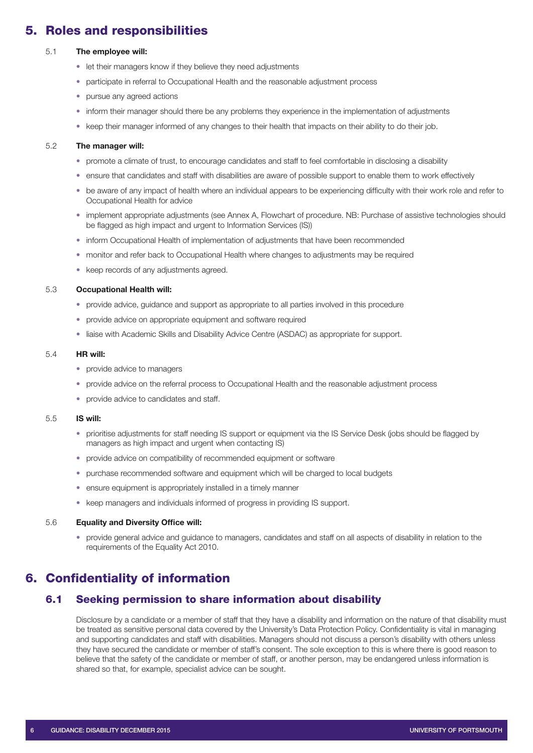# <span id="page-5-0"></span>5. Roles and responsibilities

#### 5.1 **The employee will:**

- let their managers know if they believe they need adjustments
- participate in referral to Occupational Health and the reasonable adjustment process
- pursue any agreed actions
- inform their manager should there be any problems they experience in the implementation of adjustments
- keep their manager informed of any changes to their health that impacts on their ability to do their job.

#### 5.2 **The manager will:**

- promote a climate of trust, to encourage candidates and staff to feel comfortable in disclosing a disability
- ensure that candidates and staff with disabilities are aware of possible support to enable them to work effectively
- be aware of any impact of health where an individual appears to be experiencing difficulty with their work role and refer to Occupational Health for advice
- implement appropriate adjustments (see Annex A, Flowchart of procedure. NB: Purchase of assistive technologies should be flagged as high impact and urgent to Information Services (IS))
- inform Occupational Health of implementation of adjustments that have been recommended
- monitor and refer back to Occupational Health where changes to adjustments may be required
- keep records of any adjustments agreed.

#### 5.3 **Occupational Health will:**

- provide advice, guidance and support as appropriate to all parties involved in this procedure
- provide advice on appropriate equipment and software required
- liaise with Academic Skills and Disability Advice Centre (ASDAC) as appropriate for support.

#### 5.4 **HR will:**

- provide advice to managers
- provide advice on the referral process to Occupational Health and the reasonable adjustment process
- provide advice to candidates and staff.

#### 5.5 **IS will:**

- prioritise adjustments for staff needing IS support or equipment via the IS Service Desk (jobs should be flagged by managers as high impact and urgent when contacting IS)
- provide advice on compatibility of recommended equipment or software
- purchase recommended software and equipment which will be charged to local budgets
- ensure equipment is appropriately installed in a timely manner
- keep managers and individuals informed of progress in providing IS support.

#### 5.6 **Equality and Diversity Office will:**

• provide general advice and guidance to managers, candidates and staff on all aspects of disability in relation to the requirements of the Equality Act 2010.

# <span id="page-5-1"></span>6. Confidentiality of information

## <span id="page-5-2"></span>6.1 Seeking permission to share information about disability

Disclosure by a candidate or a member of staff that they have a disability and information on the nature of that disability must be treated as sensitive personal data covered by the University's Data Protection Policy. Confidentiality is vital in managing and supporting candidates and staff with disabilities. Managers should not discuss a person's disability with others unless they have secured the candidate or member of staff's consent. The sole exception to this is where there is good reason to believe that the safety of the candidate or member of staff, or another person, may be endangered unless information is shared so that, for example, specialist advice can be sought.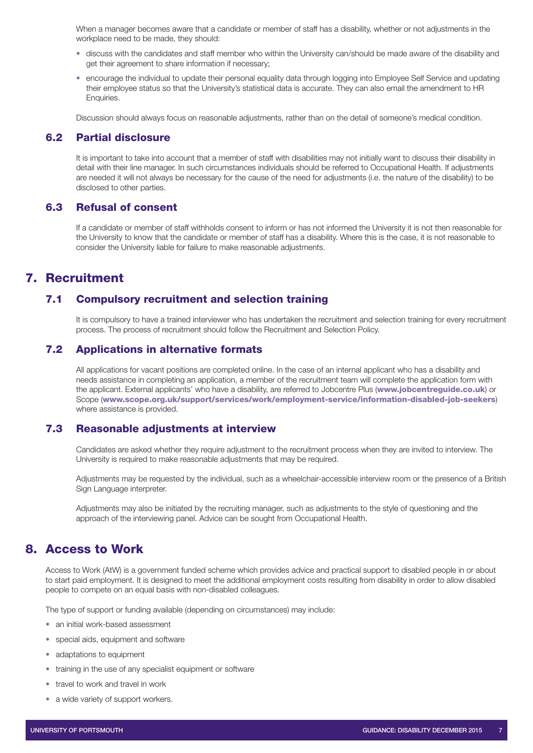When a manager becomes aware that a candidate or member of staff has a disability, whether or not adjustments in the workplace need to be made, they should:

- discuss with the candidates and staff member who within the University can/should be made aware of the disability and get their agreement to share information if necessary;
- encourage the individual to update their personal equality data through logging into Employee Self Service and updating their employee status so that the University's statistical data is accurate. They can also email the amendment to HR Enquiries.

<span id="page-6-0"></span>Discussion should always focus on reasonable adjustments, rather than on the detail of someone's medical condition.

## 6.2 Partial disclosure

It is important to take into account that a member of staff with disabilities may not initially want to discuss their disability in detail with their line manager. In such circumstances individuals should be referred to Occupational Health. If adjustments are needed it will not always be necessary for the cause of the need for adjustments (i.e. the nature of the disability) to be disclosed to other parties.

#### <span id="page-6-1"></span>6.3 Refusal of consent

If a candidate or member of staff withholds consent to inform or has not informed the University it is not then reasonable for the University to know that the candidate or member of staff has a disability. Where this is the case, it is not reasonable to consider the University liable for failure to make reasonable adjustments.

# <span id="page-6-2"></span>7. Recruitment

## <span id="page-6-3"></span>7.1 Compulsory recruitment and selection training

It is compulsory to have a trained interviewer who has undertaken the recruitment and selection training for every recruitment process. The process of recruitment should follow the Recruitment and Selection Policy.

## <span id="page-6-4"></span>7.2 Applications in alternative formats

All applications for vacant positions are completed online. In the case of an internal applicant who has a disability and needs assistance in completing an application, a member of the recruitment team will complete the application form with the applicant. External applicants' who have a disability, are referred to Jobcentre Plus ([www.jobcentreguide.co.uk](http://www.jobcentreguide.co.uk)) or Scope ([www.scope.org.uk/support/services/work/employment-service/information-disabled-job-seekers](http://www.scope.org.uk/support/services/work/employment-service/information-disabled-job-seekers)) where assistance is provided.

## <span id="page-6-5"></span>7.3 Reasonable adjustments at interview

Candidates are asked whether they require adjustment to the recruitment process when they are invited to interview. The University is required to make reasonable adjustments that may be required.

Adjustments may be requested by the individual, such as a wheelchair-accessible interview room or the presence of a British Sign Language interpreter.

Adjustments may also be initiated by the recruiting manager, such as adjustments to the style of questioning and the approach of the interviewing panel. Advice can be sought from Occupational Health.

## <span id="page-6-6"></span>8. Access to Work

Access to Work (AtW) is a government funded scheme which provides advice and practical support to disabled people in or about to start paid employment. It is designed to meet the additional employment costs resulting from disability in order to allow disabled people to compete on an equal basis with non-disabled colleagues.

The type of support or funding available (depending on circumstances) may include:

- an initial work-based assessment
- special aids, equipment and software
- adaptations to equipment
- training in the use of any specialist equipment or software
- travel to work and travel in work
- a wide variety of support workers.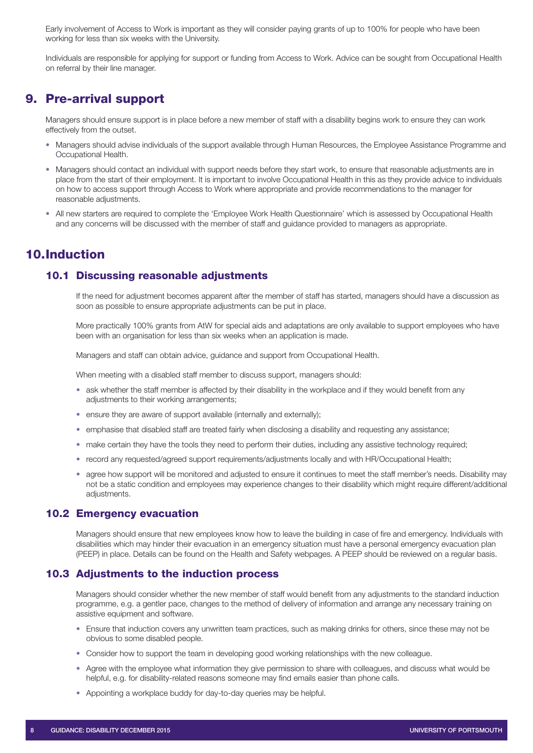Early involvement of Access to Work is important as they will consider paying grants of up to 100% for people who have been working for less than six weeks with the University.

Individuals are responsible for applying for support or funding from Access to Work. Advice can be sought from Occupational Health on referral by their line manager.

## <span id="page-7-0"></span>9. Pre-arrival support

Managers should ensure support is in place before a new member of staff with a disability begins work to ensure they can work effectively from the outset.

- Managers should advise individuals of the support available through Human Resources, the Employee Assistance Programme and Occupational Health.
- Managers should contact an individual with support needs before they start work, to ensure that reasonable adjustments are in place from the start of their employment. It is important to involve Occupational Health in this as they provide advice to individuals on how to access support through Access to Work where appropriate and provide recommendations to the manager for reasonable adjustments.
- All new starters are required to complete the 'Employee Work Health Questionnaire' which is assessed by Occupational Health and any concerns will be discussed with the member of staff and guidance provided to managers as appropriate.

# <span id="page-7-1"></span>10.Induction

## <span id="page-7-2"></span>10.1 Discussing reasonable adjustments

If the need for adjustment becomes apparent after the member of staff has started, managers should have a discussion as soon as possible to ensure appropriate adjustments can be put in place.

More practically 100% grants from AtW for special aids and adaptations are only available to support employees who have been with an organisation for less than six weeks when an application is made.

Managers and staff can obtain advice, guidance and support from Occupational Health.

When meeting with a disabled staff member to discuss support, managers should:

- ask whether the staff member is affected by their disability in the workplace and if they would benefit from any adjustments to their working arrangements;
- ensure they are aware of support available (internally and externally);
- emphasise that disabled staff are treated fairly when disclosing a disability and requesting any assistance;
- make certain they have the tools they need to perform their duties, including any assistive technology required;
- record any requested/agreed support requirements/adjustments locally and with HR/Occupational Health;
- agree how support will be monitored and adjusted to ensure it continues to meet the staff member's needs. Disability may not be a static condition and employees may experience changes to their disability which might require different/additional adjustments.

#### <span id="page-7-3"></span>10.2 Emergency evacuation

Managers should ensure that new employees know how to leave the building in case of fire and emergency. Individuals with disabilities which may hinder their evacuation in an emergency situation must have a personal emergency evacuation plan (PEEP) in place. Details can be found on the Health and Safety webpages. A PEEP should be reviewed on a regular basis.

#### <span id="page-7-4"></span>10.3 Adjustments to the induction process

Managers should consider whether the new member of staff would benefit from any adjustments to the standard induction programme, e.g. a gentler pace, changes to the method of delivery of information and arrange any necessary training on assistive equipment and software.

- Ensure that induction covers any unwritten team practices, such as making drinks for others, since these may not be obvious to some disabled people.
- Consider how to support the team in developing good working relationships with the new colleague.
- Agree with the employee what information they give permission to share with colleagues, and discuss what would be helpful, e.g. for disability-related reasons someone may find emails easier than phone calls.
- Appointing a workplace buddy for day-to-day queries may be helpful.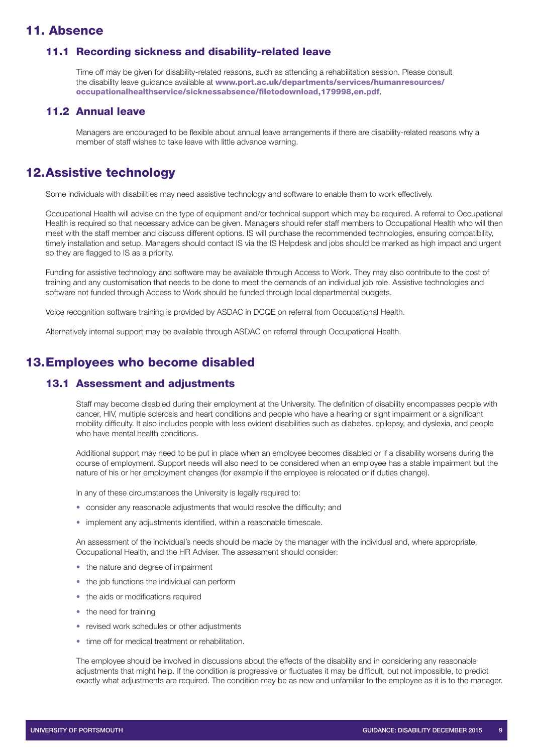## <span id="page-8-0"></span>11. Absence

#### <span id="page-8-1"></span>11.1 Recording sickness and disability-related leave

Time off may be given for disability-related reasons, such as attending a rehabilitation session. Please consult the disability leave guidance available at [www.port.ac.uk/departments/services/humanresources/](http://www.port.ac.uk/departments/services/humanresources/occupationalhealthservice/sicknessabsence/filetodownload,179998,en.pdf) [occupationalhealthservice/sicknessabsence/filetodownload,179998,en.pdf](http://www.port.ac.uk/departments/services/humanresources/occupationalhealthservice/sicknessabsence/filetodownload,179998,en.pdf).

## <span id="page-8-2"></span>11.2 Annual leave

Managers are encouraged to be flexible about annual leave arrangements if there are disability-related reasons why a member of staff wishes to take leave with little advance warning.

# <span id="page-8-3"></span>12.Assistive technology

Some individuals with disabilities may need assistive technology and software to enable them to work effectively.

Occupational Health will advise on the type of equipment and/or technical support which may be required. A referral to Occupational Health is required so that necessary advice can be given. Managers should refer staff members to Occupational Health who will then meet with the staff member and discuss different options. IS will purchase the recommended technologies, ensuring compatibility, timely installation and setup. Managers should contact IS via the IS Helpdesk and jobs should be marked as high impact and urgent so they are flagged to IS as a priority.

Funding for assistive technology and software may be available through Access to Work. They may also contribute to the cost of training and any customisation that needs to be done to meet the demands of an individual job role. Assistive technologies and software not funded through Access to Work should be funded through local departmental budgets.

Voice recognition software training is provided by ASDAC in DCQE on referral from Occupational Health.

Alternatively internal support may be available through ASDAC on referral through Occupational Health.

# <span id="page-8-4"></span>13.Employees who become disabled

#### <span id="page-8-5"></span>13.1 Assessment and adjustments

Staff may become disabled during their employment at the University. The definition of disability encompasses people with cancer, HIV, multiple sclerosis and heart conditions and people who have a hearing or sight impairment or a significant mobility difficulty. It also includes people with less evident disabilities such as diabetes, epilepsy, and dyslexia, and people who have mental health conditions.

Additional support may need to be put in place when an employee becomes disabled or if a disability worsens during the course of employment. Support needs will also need to be considered when an employee has a stable impairment but the nature of his or her employment changes (for example if the employee is relocated or if duties change).

In any of these circumstances the University is legally required to:

- consider any reasonable adjustments that would resolve the difficulty: and
- implement any adjustments identified, within a reasonable timescale.

An assessment of the individual's needs should be made by the manager with the individual and, where appropriate, Occupational Health, and the HR Adviser. The assessment should consider:

- the nature and degree of impairment
- the job functions the individual can perform
- the aids or modifications required
- the need for training
- revised work schedules or other adjustments
- time off for medical treatment or rehabilitation.

The employee should be involved in discussions about the effects of the disability and in considering any reasonable adjustments that might help. If the condition is progressive or fluctuates it may be difficult, but not impossible, to predict exactly what adjustments are required. The condition may be as new and unfamiliar to the employee as it is to the manager.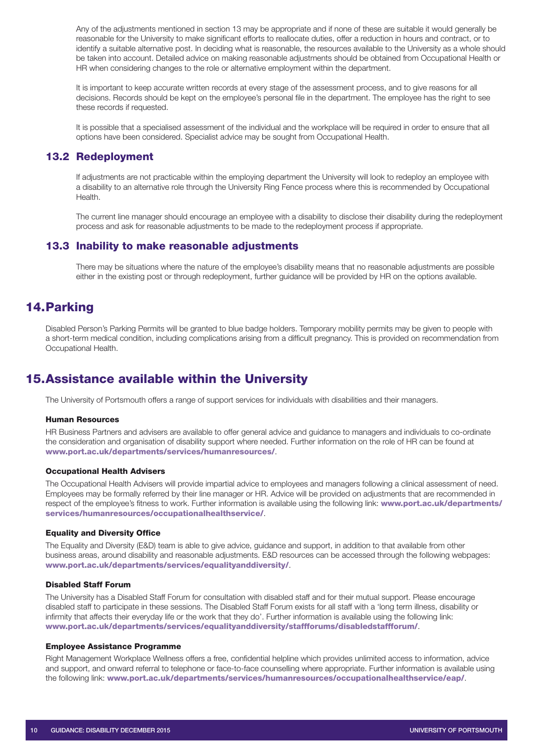Any of the adjustments mentioned in section 13 may be appropriate and if none of these are suitable it would generally be reasonable for the University to make significant efforts to reallocate duties, offer a reduction in hours and contract, or to identify a suitable alternative post. In deciding what is reasonable, the resources available to the University as a whole should be taken into account. Detailed advice on making reasonable adjustments should be obtained from Occupational Health or HR when considering changes to the role or alternative employment within the department.

It is important to keep accurate written records at every stage of the assessment process, and to give reasons for all decisions. Records should be kept on the employee's personal file in the department. The employee has the right to see these records if requested.

It is possible that a specialised assessment of the individual and the workplace will be required in order to ensure that all options have been considered. Specialist advice may be sought from Occupational Health.

#### <span id="page-9-0"></span>13.2 Redeployment

If adjustments are not practicable within the employing department the University will look to redeploy an employee with a disability to an alternative role through the University Ring Fence process where this is recommended by Occupational Health.

The current line manager should encourage an employee with a disability to disclose their disability during the redeployment process and ask for reasonable adjustments to be made to the redeployment process if appropriate.

## <span id="page-9-1"></span>13.3 Inability to make reasonable adjustments

There may be situations where the nature of the employee's disability means that no reasonable adjustments are possible either in the existing post or through redeployment, further guidance will be provided by HR on the options available.

# <span id="page-9-2"></span>14.Parking

Disabled Person's Parking Permits will be granted to blue badge holders. Temporary mobility permits may be given to people with a short-term medical condition, including complications arising from a difficult pregnancy. This is provided on recommendation from Occupational Health.

# <span id="page-9-3"></span>15.Assistance available within the University

The University of Portsmouth offers a range of support services for individuals with disabilities and their managers.

#### Human Resources

HR Business Partners and advisers are available to offer general advice and guidance to managers and individuals to co-ordinate the consideration and organisation of disability support where needed. Further information on the role of HR can be found at [www.port.ac.uk/departments/services/humanresources/](http://www.port.ac.uk/departments/services/humanresources/).

#### Occupational Health Advisers

The Occupational Health Advisers will provide impartial advice to employees and managers following a clinical assessment of need. Employees may be formally referred by their line manager or HR. Advice will be provided on adjustments that are recommended in respect of the employee's fitness to work. Further information is available using the following link: [www.port.ac.uk/departments/](http://www.port.ac.uk/departments/services/humanresources/occupationalhealthservice/) [services/humanresources/occupationalhealthservice/](http://www.port.ac.uk/departments/services/humanresources/occupationalhealthservice/).

#### Equality and Diversity Office

The Equality and Diversity (E&D) team is able to give advice, guidance and support, in addition to that available from other business areas, around disability and reasonable adjustments. E&D resources can be accessed through the following webpages: [www.port.ac.uk/departments/services/equalityanddiversity/](http://www.port.ac.uk/departments/services/equalityanddiversity/).

#### Disabled Staff Forum

The University has a Disabled Staff Forum for consultation with disabled staff and for their mutual support. Please encourage disabled staff to participate in these sessions. The Disabled Staff Forum exists for all staff with a 'long term illness, disability or infirmity that affects their everyday life or the work that they do'. Further information is available using the following link: [www.port.ac.uk/departments/services/equalityanddiversity/staffforums/disabledstaffforum/](http://www.port.ac.uk/departments/services/equalityanddiversity/staffforums/disabledstaffforum/).

#### Employee Assistance Programme

Right Management Workplace Wellness offers a free, confidential helpline which provides unlimited access to information, advice and support, and onward referral to telephone or face-to-face counselling where appropriate. Further information is available using the following link: [www.port.ac.uk/departments/services/humanresources/occupationalhealthservice/eap/](http://www.port.ac.uk/departments/services/humanresources/occupationalhealthservice/eap/).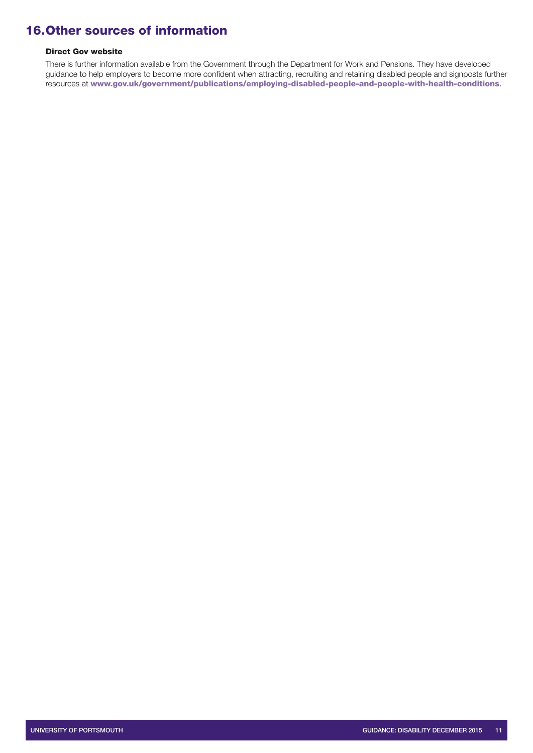# <span id="page-10-0"></span>16.Other sources of information

#### Direct Gov website

There is further information available from the Government through the Department for Work and Pensions. They have developed guidance to help employers to become more confident when attracting, recruiting and retaining disabled people and signposts further resources at [www.gov.uk/government/publications/employing-disabled-people-and-people-with-health-conditions](http://www.gov.uk/government/publications/employing-disabled-people-and-people-with-health-conditions).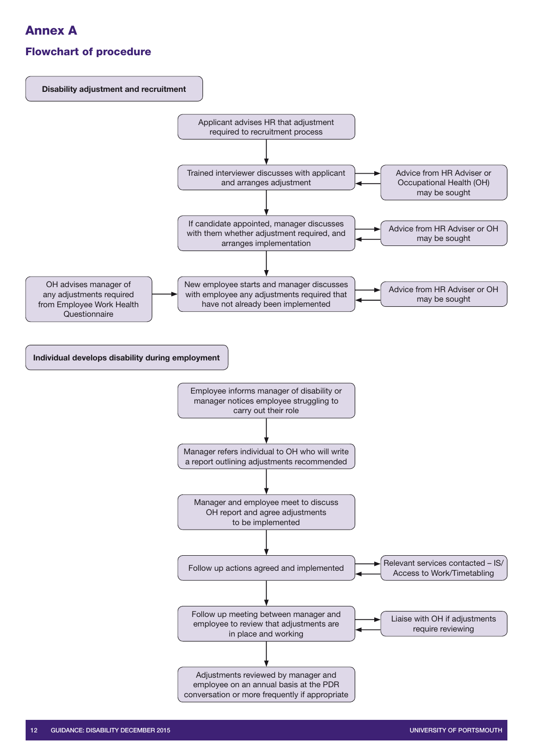# <span id="page-11-0"></span>Annex A

# Flowchart of procedure